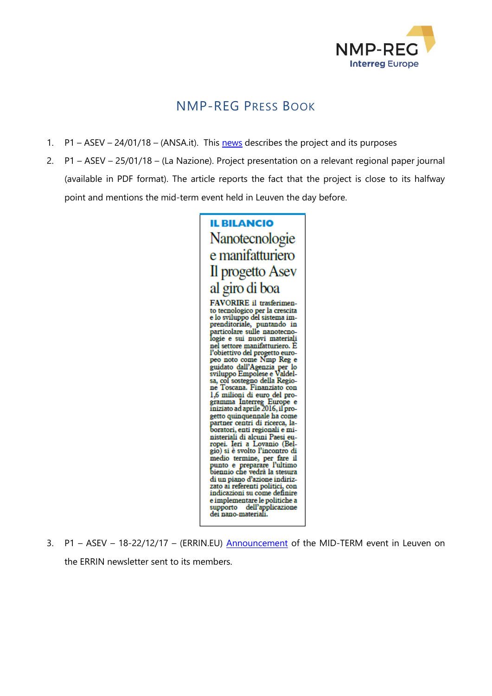

## NMP-REG PRESS BOOK

- 1.  $P1 ASEV 24/01/18 (ANSA.it)$ . This [news](http://www.ansa.it/toscana/notizie/europa/2018/01/24/industria-asev-toscana-guida-progetto-ue-su-nanotecnologie_debec2de-5917-47a7-879a-ddcbd05fa95c.html) describes the project and its purposes
- 2. P1 ASEV 25/01/18 (La Nazione). Project presentation on a relevant regional paper journal (available in PDF format). The article reports the fact that the project is close to its halfway point and mentions the mid-term event held in Leuven the day before.



3. P1 - ASEV - 18-22/12/17 - (ERRIN.EU) [Announcement](https://www.errin.eu/events/nmp-reg-mid-term-event) of the MID-TERM event in Leuven on the ERRIN newsletter sent to its members.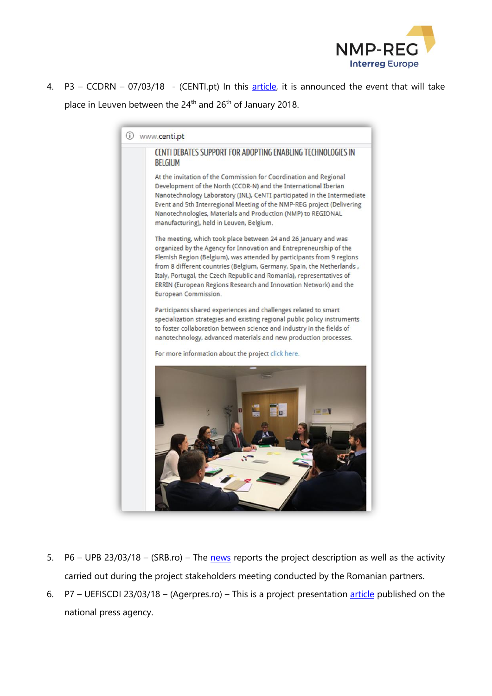

4. P3 – CCDRN – 07/03/18 - (CENTI.pt) In this [article,](http://www.centi.pt/) it is announced the event that will take place in Leuven between the 24<sup>th</sup> and 26<sup>th</sup> of January 2018.

1 www.centi.pt CENTI DEBATES SUPPORT FOR ADOPTING ENABLING TECHNOLOGIES IN **BELGIUM** At the invitation of the Commission for Coordination and Regional Development of the North (CCDR-N) and the International Iberian Nanotechnology Laboratory (INL), CeNTI participated in the Intermediate Event and 5th Interregional Meeting of the NMP-REG project (Delivering Nanotechnologies, Materials and Production (NMP) to REGIONAL manufacturing), held in Leuven, Belgium. The meeting, which took place between 24 and 26 January and was organized by the Agency for Innovation and Entrepreneurship of the Flemish Region (Belgium), was attended by participants from 9 regions from 8 different countries (Belgium, Germany, Spain, the Netherlands, Italy, Portugal, the Czech Republic and Romania), representatives of ERRIN (European Regions Research and Innovation Network) and the European Commission. Participants shared experiences and challenges related to smart specialization strategies and existing regional public policy instruments to foster collaboration between science and industry in the fields of nanotechnology, advanced materials and new production processes. For more information about the project click here.

- 5. P6 UPB 23/03/18 (SRB.ro) The [news](http://srb.ro/) reports the project description as well as the activity carried out during the project stakeholders meeting conducted by the Romanian partners.
- 6. P7 UEFISCDI 23/03/18 (Agerpres.ro) This is a project presentation [article](https://www1.agerpres.ro/comunicate/2018/03/23/comunicat-de-presa-unitatea-executiva-pentru-finantarea-invatamantului-superior-a-cercetarii-dezvoltarii-si-inovarii-15-09-53) published on the national press agency.